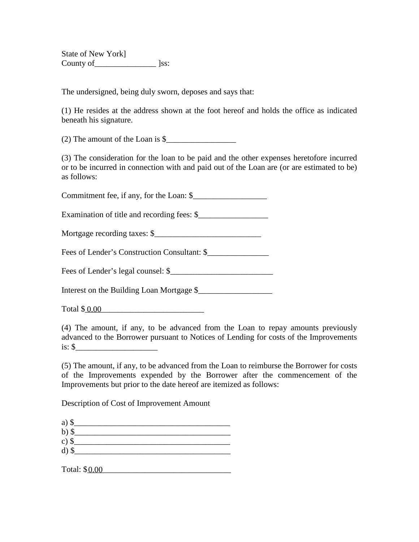State of New York] County of\_\_\_\_\_\_\_\_\_\_\_\_\_\_\_ ]ss:

The undersigned, being duly sworn, deposes and says that:

(1) He resides at the address shown at the foot hereof and holds the office as indicated beneath his signature.

 $(2)$  The amount of the Loan is  $\frac{1}{2}$ 

(3) The consideration for the loan to be paid and the other expenses heretofore incurred or to be incurred in connection with and paid out of the Loan are (or are estimated to be) as follows:

Commitment fee, if any, for the Loan:  $$$ 

Examination of title and recording fees: \$\_\_\_\_\_\_\_\_\_\_\_\_\_\_\_\_\_

Mortgage recording taxes: \$\_\_\_\_\_\_\_\_\_\_\_\_\_\_\_\_\_\_\_\_\_\_\_\_\_\_

Fees of Lender's Construction Consultant: \$\_\_\_\_\_\_\_\_\_\_\_\_\_\_\_

Fees of Lender's legal counsel:  $\frac{1}{2}$ 

Interest on the Building Loan Mortgage \$

Total \$ <u>0.00</u>

(4) The amount, if any, to be advanced from the Loan to repay amounts previously advanced to the Borrower pursuant to Notices of Lending for costs of the Improvements is: \$\_\_\_\_\_\_\_\_\_\_\_\_\_\_\_\_\_\_\_\_

(5) The amount, if any, to be advanced from the Loan to reimburse the Borrower for costs of the Improvements expended by the Borrower after the commencement of the Improvements but prior to the date hereof are itemized as follows:

Description of Cost of Improvement Amount

a) \$ b)  $\frac{1}{2}$ c)  $\frac{1}{2}$ d)  $\sqrt[3]{\frac{1}{2}}$ 

Total: \$0.00